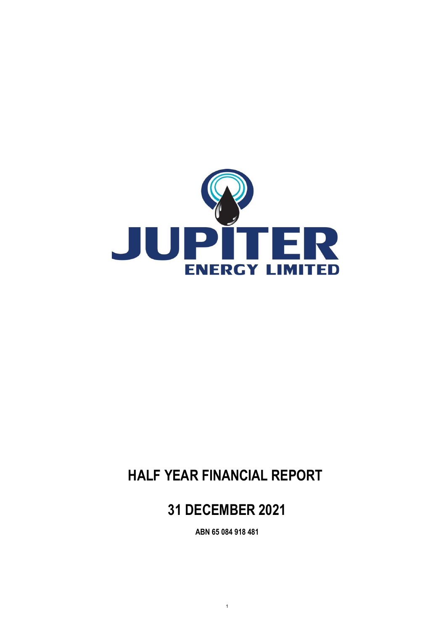

# **HALF YEAR FINANCIAL REPORT**

# **31 DECEMBER 2021**

**ABN 65 084 918 481**

1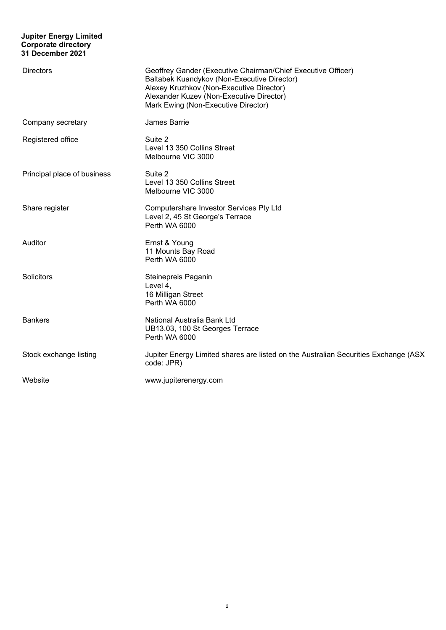#### **Jupiter Energy Limited Corporate directory 31 December 2021**

| <b>Directors</b>            | Geoffrey Gander (Executive Chairman/Chief Executive Officer)<br>Baltabek Kuandykov (Non-Executive Director)<br>Alexey Kruzhkov (Non-Executive Director)<br>Alexander Kuzev (Non-Executive Director)<br>Mark Ewing (Non-Executive Director) |
|-----------------------------|--------------------------------------------------------------------------------------------------------------------------------------------------------------------------------------------------------------------------------------------|
| Company secretary           | James Barrie                                                                                                                                                                                                                               |
| Registered office           | Suite 2<br>Level 13 350 Collins Street<br>Melbourne VIC 3000                                                                                                                                                                               |
| Principal place of business | Suite 2<br>Level 13 350 Collins Street<br>Melbourne VIC 3000                                                                                                                                                                               |
| Share register              | Computershare Investor Services Pty Ltd<br>Level 2, 45 St George's Terrace<br>Perth WA 6000                                                                                                                                                |
| Auditor                     | Ernst & Young<br>11 Mounts Bay Road<br>Perth WA 6000                                                                                                                                                                                       |
| Solicitors                  | Steinepreis Paganin<br>Level 4,<br>16 Milligan Street<br>Perth WA 6000                                                                                                                                                                     |
| <b>Bankers</b>              | National Australia Bank Ltd<br>UB13.03, 100 St Georges Terrace<br>Perth WA 6000                                                                                                                                                            |
| Stock exchange listing      | Jupiter Energy Limited shares are listed on the Australian Securities Exchange (ASX<br>code: JPR)                                                                                                                                          |
| Website                     | www.jupiterenergy.com                                                                                                                                                                                                                      |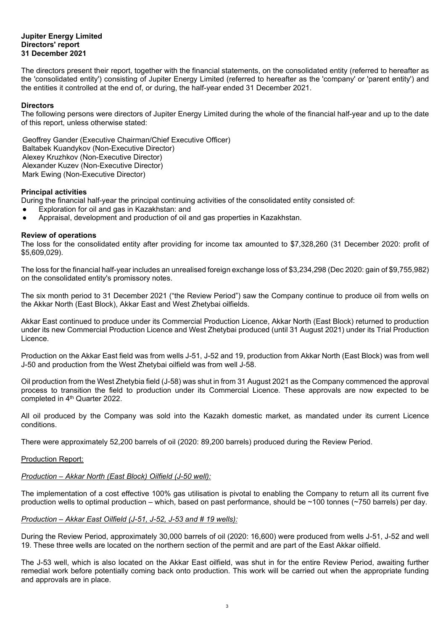#### **Jupiter Energy Limited Directors' report 31 December 2021**

The directors present their report, together with the financial statements, on the consolidated entity (referred to hereafter as the 'consolidated entity') consisting of Jupiter Energy Limited (referred to hereafter as the 'company' or 'parent entity') and the entities it controlled at the end of, or during, the half-year ended 31 December 2021.

#### **Directors**

The following persons were directors of Jupiter Energy Limited during the whole of the financial half-year and up to the date of this report, unless otherwise stated:

Geoffrey Gander (Executive Chairman/Chief Executive Officer) Baltabek Kuandykov (Non-Executive Director) Alexey Kruzhkov (Non-Executive Director) Alexander Kuzev (Non-Executive Director) Mark Ewing (Non-Executive Director)

#### **Principal activities**

During the financial half-year the principal continuing activities of the consolidated entity consisted of:

- Exploration for oil and gas in Kazakhstan: and
- Appraisal, development and production of oil and gas properties in Kazakhstan.

#### **Review of operations**

The loss for the consolidated entity after providing for income tax amounted to \$7,328,260 (31 December 2020: profit of \$5,609,029).

The loss for the financial half-year includes an unrealised foreign exchange loss of \$3,234,298 (Dec 2020: gain of \$9,755,982) on the consolidated entity's promissory notes.

The six month period to 31 December 2021 ("the Review Period") saw the Company continue to produce oil from wells on the Akkar North (East Block), Akkar East and West Zhetybai oilfields.

Akkar East continued to produce under its Commercial Production Licence, Akkar North (East Block) returned to production under its new Commercial Production Licence and West Zhetybai produced (until 31 August 2021) under its Trial Production Licence.

Production on the Akkar East field was from wells J-51, J-52 and 19, production from Akkar North (East Block) was from well J-50 and production from the West Zhetybai oilfield was from well J-58.

Oil production from the West Zhetybia field (J-58) was shut in from 31 August 2021 as the Company commenced the approval process to transition the field to production under its Commercial Licence. These approvals are now expected to be completed in 4<sup>th</sup> Quarter 2022.

All oil produced by the Company was sold into the Kazakh domestic market, as mandated under its current Licence conditions.

There were approximately 52,200 barrels of oil (2020: 89,200 barrels) produced during the Review Period.

#### Production Report:

#### *Production – Akkar North (East Block) Oilfield (J-50 well):*

The implementation of a cost effective 100% gas utilisation is pivotal to enabling the Company to return all its current five production wells to optimal production – which, based on past performance, should be ~100 tonnes (~750 barrels) per day.

#### *Production – Akkar East Oilfield (J-51, J-52, J-53 and # 19 wells):*

During the Review Period, approximately 30,000 barrels of oil (2020: 16,600) were produced from wells J-51, J-52 and well 19. These three wells are located on the northern section of the permit and are part of the East Akkar oilfield.

The J-53 well, which is also located on the Akkar East oilfield, was shut in for the entire Review Period, awaiting further remedial work before potentially coming back onto production. This work will be carried out when the appropriate funding and approvals are in place.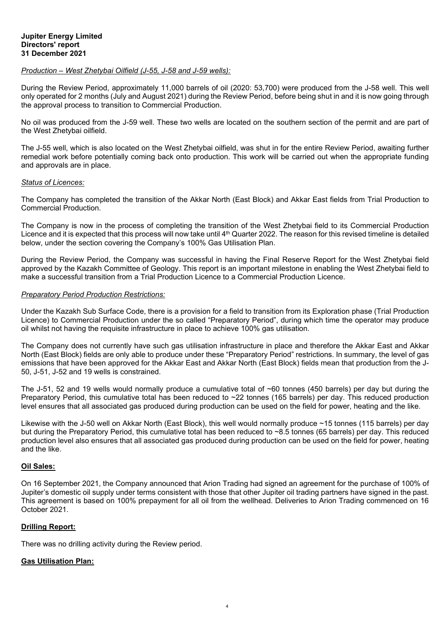#### *Production – West Zhetybai Oilfield (J-55, J-58 and J-59 wells):*

During the Review Period, approximately 11,000 barrels of oil (2020: 53,700) were produced from the J-58 well. This well only operated for 2 months (July and August 2021) during the Review Period, before being shut in and it is now going through the approval process to transition to Commercial Production.

No oil was produced from the J-59 well. These two wells are located on the southern section of the permit and are part of the West Zhetybai oilfield.

The J-55 well, which is also located on the West Zhetybai oilfield, was shut in for the entire Review Period, awaiting further remedial work before potentially coming back onto production. This work will be carried out when the appropriate funding and approvals are in place.

#### *Status of Licences:*

The Company has completed the transition of the Akkar North (East Block) and Akkar East fields from Trial Production to Commercial Production.

The Company is now in the process of completing the transition of the West Zhetybai field to its Commercial Production Licence and it is expected that this process will now take until 4<sup>th</sup> Quarter 2022. The reason for this revised timeline is detailed below, under the section covering the Company's 100% Gas Utilisation Plan.

During the Review Period, the Company was successful in having the Final Reserve Report for the West Zhetybai field approved by the Kazakh Committee of Geology. This report is an important milestone in enabling the West Zhetybai field to make a successful transition from a Trial Production Licence to a Commercial Production Licence.

#### *Preparatory Period Production Restrictions:*

Under the Kazakh Sub Surface Code, there is a provision for a field to transition from its Exploration phase (Trial Production Licence) to Commercial Production under the so called "Preparatory Period", during which time the operator may produce oil whilst not having the requisite infrastructure in place to achieve 100% gas utilisation.

The Company does not currently have such gas utilisation infrastructure in place and therefore the Akkar East and Akkar North (East Block) fields are only able to produce under these "Preparatory Period" restrictions. In summary, the level of gas emissions that have been approved for the Akkar East and Akkar North (East Block) fields mean that production from the J-50, J-51, J-52 and 19 wells is constrained.

The J-51, 52 and 19 wells would normally produce a cumulative total of ~60 tonnes (450 barrels) per day but during the Preparatory Period, this cumulative total has been reduced to ~22 tonnes (165 barrels) per day. This reduced production level ensures that all associated gas produced during production can be used on the field for power, heating and the like.

Likewise with the J-50 well on Akkar North (East Block), this well would normally produce ~15 tonnes (115 barrels) per day but during the Preparatory Period, this cumulative total has been reduced to ~8.5 tonnes (65 barrels) per day. This reduced production level also ensures that all associated gas produced during production can be used on the field for power, heating and the like.

#### **Oil Sales:**

On 16 September 2021, the Company announced that Arion Trading had signed an agreement for the purchase of 100% of Jupiter's domestic oil supply under terms consistent with those that other Jupiter oil trading partners have signed in the past. This agreement is based on 100% prepayment for all oil from the wellhead. Deliveries to Arion Trading commenced on 16 October 2021.

#### **Drilling Report:**

There was no drilling activity during the Review period.

#### **Gas Utilisation Plan:**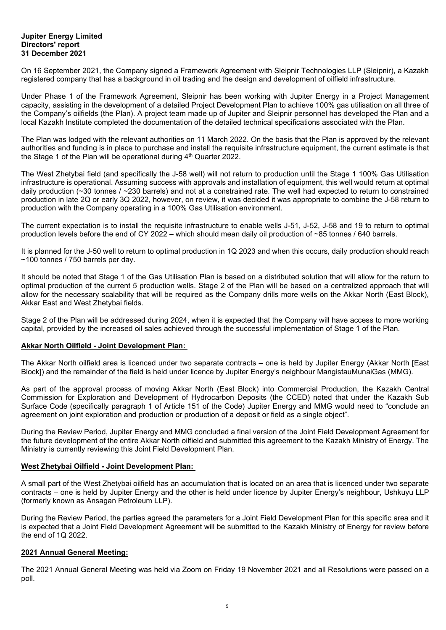#### **Jupiter Energy Limited Directors' report 31 December 2021**

On 16 September 2021, the Company signed a Framework Agreement with Sleipnir Technologies LLP (Sleipnir), a Kazakh registered company that has a background in oil trading and the design and development of oilfield infrastructure.

Under Phase 1 of the Framework Agreement, Sleipnir has been working with Jupiter Energy in a Project Management capacity, assisting in the development of a detailed Project Development Plan to achieve 100% gas utilisation on all three of the Company's oilfields (the Plan). A project team made up of Jupiter and Sleipnir personnel has developed the Plan and a local Kazakh Institute completed the documentation of the detailed technical specifications associated with the Plan.

The Plan was lodged with the relevant authorities on 11 March 2022. On the basis that the Plan is approved by the relevant authorities and funding is in place to purchase and install the requisite infrastructure equipment, the current estimate is that the Stage 1 of the Plan will be operational during  $4<sup>th</sup>$  Quarter 2022.

The West Zhetybai field (and specifically the J-58 well) will not return to production until the Stage 1 100% Gas Utilisation infrastructure is operational. Assuming success with approvals and installation of equipment, this well would return at optimal daily production (~30 tonnes / ~230 barrels) and not at a constrained rate. The well had expected to return to constrained production in late 2Q or early 3Q 2022, however, on review, it was decided it was appropriate to combine the J-58 return to production with the Company operating in a 100% Gas Utilisation environment.

The current expectation is to install the requisite infrastructure to enable wells J-51, J-52, J-58 and 19 to return to optimal production levels before the end of CY 2022 – which should mean daily oil production of ~85 tonnes / 640 barrels.

It is planned for the J-50 well to return to optimal production in 1Q 2023 and when this occurs, daily production should reach ~100 tonnes / 750 barrels per day.

It should be noted that Stage 1 of the Gas Utilisation Plan is based on a distributed solution that will allow for the return to optimal production of the current 5 production wells. Stage 2 of the Plan will be based on a centralized approach that will allow for the necessary scalability that will be required as the Company drills more wells on the Akkar North (East Block), Akkar East and West Zhetybai fields.

Stage 2 of the Plan will be addressed during 2024, when it is expected that the Company will have access to more working capital, provided by the increased oil sales achieved through the successful implementation of Stage 1 of the Plan.

#### **Akkar North Oilfield - Joint Development Plan:**

The Akkar North oilfield area is licenced under two separate contracts – one is held by Jupiter Energy (Akkar North [East Block]) and the remainder of the field is held under licence by Jupiter Energy's neighbour MangistauMunaiGas (MMG).

As part of the approval process of moving Akkar North (East Block) into Commercial Production, the Kazakh Central Commission for Exploration and Development of Hydrocarbon Deposits (the CCED) noted that under the Kazakh Sub Surface Code (specifically paragraph 1 of Article 151 of the Code) Jupiter Energy and MMG would need to "conclude an agreement on joint exploration and production or production of a deposit or field as a single object".

During the Review Period, Jupiter Energy and MMG concluded a final version of the Joint Field Development Agreement for the future development of the entire Akkar North oilfield and submitted this agreement to the Kazakh Ministry of Energy. The Ministry is currently reviewing this Joint Field Development Plan.

#### **West Zhetybai Oilfield - Joint Development Plan:**

A small part of the West Zhetybai oilfield has an accumulation that is located on an area that is licenced under two separate contracts – one is held by Jupiter Energy and the other is held under licence by Jupiter Energy's neighbour, Ushkuyu LLP (formerly known as Ansagan Petroleum LLP).

During the Review Period, the parties agreed the parameters for a Joint Field Development Plan for this specific area and it is expected that a Joint Field Development Agreement will be submitted to the Kazakh Ministry of Energy for review before the end of 1Q 2022.

#### **2021 Annual General Meeting:**

The 2021 Annual General Meeting was held via Zoom on Friday 19 November 2021 and all Resolutions were passed on a poll.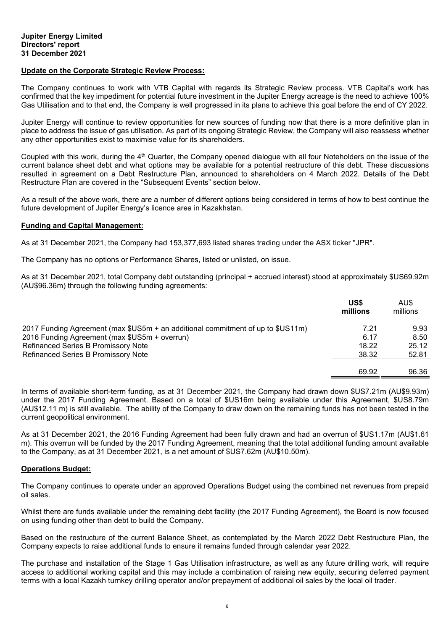#### **Update on the Corporate Strategic Review Process:**

The Company continues to work with VTB Capital with regards its Strategic Review process. VTB Capital's work has confirmed that the key impediment for potential future investment in the Jupiter Energy acreage is the need to achieve 100% Gas Utilisation and to that end, the Company is well progressed in its plans to achieve this goal before the end of CY 2022.

Jupiter Energy will continue to review opportunities for new sources of funding now that there is a more definitive plan in place to address the issue of gas utilisation. As part of its ongoing Strategic Review, the Company will also reassess whether any other opportunities exist to maximise value for its shareholders.

Coupled with this work, during the 4<sup>th</sup> Quarter, the Company opened dialogue with all four Noteholders on the issue of the current balance sheet debt and what options may be available for a potential restructure of this debt. These discussions resulted in agreement on a Debt Restructure Plan, announced to shareholders on 4 March 2022. Details of the Debt Restructure Plan are covered in the "Subsequent Events" section below.

As a result of the above work, there are a number of different options being considered in terms of how to best continue the future development of Jupiter Energy's licence area in Kazakhstan.

#### **Funding and Capital Management:**

As at 31 December 2021, the Company had 153,377,693 listed shares trading under the ASX ticker "JPR".

The Company has no options or Performance Shares, listed or unlisted, on issue.

As at 31 December 2021, total Company debt outstanding (principal + accrued interest) stood at approximately \$US69.92m (AU\$96.36m) through the following funding agreements:

|                                                                                 | US\$<br>millions | AU\$<br>millions |
|---------------------------------------------------------------------------------|------------------|------------------|
| 2017 Funding Agreement (max \$US5m + an additional commitment of up to \$US11m) | 7.21             | 9.93             |
| 2016 Funding Agreement (max \$US5m + overrun)                                   | 6.17             | 8.50             |
| <b>Refinanced Series B Promissory Note</b>                                      | 18.22            | 25.12            |
| <b>Refinanced Series B Promissory Note</b>                                      | 38.32            | 52.81            |
|                                                                                 |                  |                  |
|                                                                                 | 69.92            | 96.36            |

In terms of available short-term funding, as at 31 December 2021, the Company had drawn down \$US7.21m (AU\$9.93m) under the 2017 Funding Agreement. Based on a total of \$US16m being available under this Agreement, \$US8.79m (AU\$12.11 m) is still available. The ability of the Company to draw down on the remaining funds has not been tested in the current geopolitical environment.

As at 31 December 2021, the 2016 Funding Agreement had been fully drawn and had an overrun of \$US1.17m (AU\$1.61 m). This overrun will be funded by the 2017 Funding Agreement, meaning that the total additional funding amount available to the Company, as at 31 December 2021, is a net amount of \$US7.62m (AU\$10.50m).

#### **Operations Budget:**

The Company continues to operate under an approved Operations Budget using the combined net revenues from prepaid oil sales.

Whilst there are funds available under the remaining debt facility (the 2017 Funding Agreement), the Board is now focused on using funding other than debt to build the Company.

Based on the restructure of the current Balance Sheet, as contemplated by the March 2022 Debt Restructure Plan, the Company expects to raise additional funds to ensure it remains funded through calendar year 2022.

The purchase and installation of the Stage 1 Gas Utilisation infrastructure, as well as any future drilling work, will require access to additional working capital and this may include a combination of raising new equity, securing deferred payment terms with a local Kazakh turnkey drilling operator and/or prepayment of additional oil sales by the local oil trader.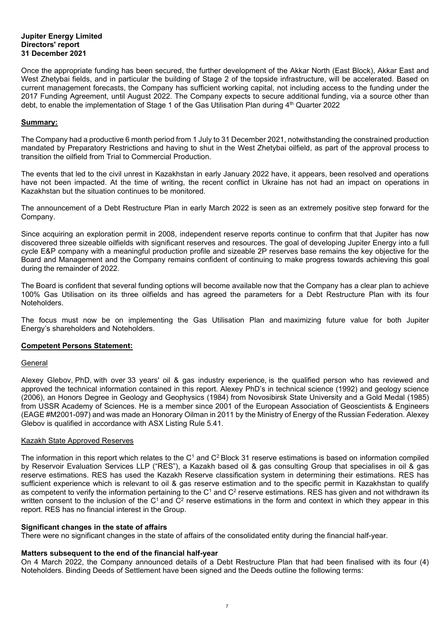#### **Jupiter Energy Limited Directors' report 31 December 2021**

Once the appropriate funding has been secured, the further development of the Akkar North (East Block), Akkar East and West Zhetybai fields, and in particular the building of Stage 2 of the topside infrastructure, will be accelerated. Based on current management forecasts, the Company has sufficient working capital, not including access to the funding under the 2017 Funding Agreement, until August 2022. The Company expects to secure additional funding, via a source other than debt, to enable the implementation of Stage 1 of the Gas Utilisation Plan during 4<sup>th</sup> Quarter 2022

#### **Summary:**

The Company had a productive 6 month period from 1 July to 31 December 2021, notwithstanding the constrained production mandated by Preparatory Restrictions and having to shut in the West Zhetybai oilfield, as part of the approval process to transition the oilfield from Trial to Commercial Production.

The events that led to the civil unrest in Kazakhstan in early January 2022 have, it appears, been resolved and operations have not been impacted. At the time of writing, the recent conflict in Ukraine has not had an impact on operations in Kazakhstan but the situation continues to be monitored.

The announcement of a Debt Restructure Plan in early March 2022 is seen as an extremely positive step forward for the Company.

Since acquiring an exploration permit in 2008, independent reserve reports continue to confirm that that Jupiter has now discovered three sizeable oilfields with significant reserves and resources. The goal of developing Jupiter Energy into a full cycle E&P company with a meaningful production profile and sizeable 2P reserves base remains the key objective for the Board and Management and the Company remains confident of continuing to make progress towards achieving this goal during the remainder of 2022.

The Board is confident that several funding options will become available now that the Company has a clear plan to achieve 100% Gas Utilisation on its three oilfields and has agreed the parameters for a Debt Restructure Plan with its four Noteholders.

The focus must now be on implementing the Gas Utilisation Plan and maximizing future value for both Jupiter Energy's shareholders and Noteholders.

#### **Competent Persons Statement:**

#### **General**

Alexey Glebov, PhD, with over 33 years' oil & gas industry experience, is the qualified person who has reviewed and approved the technical information contained in this report. Alexey PhD's in technical science (1992) and geology science (2006), an Honors Degree in Geology and Geophysics (1984) from Novosibirsk State University and a Gold Medal (1985) from USSR Academy of Sciences. He is a member since 2001 of the European Association of Geoscientists & Engineers (EAGE #M2001-097) and was made an Honorary Oilman in 2011 by the Ministry of Energy of the Russian Federation. Alexey Glebov is qualified in accordance with ASX Listing Rule 5.41.

#### Kazakh State Approved Reserves

The information in this report which relates to the  $C<sup>1</sup>$  and  $C<sup>2</sup>$  Block 31 reserve estimations is based on information compiled by Reservoir Evaluation Services LLP ("RES"), a Kazakh based oil & gas consulting Group that specialises in oil & gas reserve estimations. RES has used the Kazakh Reserve classification system in determining their estimations. RES has sufficient experience which is relevant to oil & gas reserve estimation and to the specific permit in Kazakhstan to qualify as competent to verify the information pertaining to the C<sup>1</sup> and C<sup>2</sup> reserve estimations. RES has given and not withdrawn its written consent to the inclusion of the  $C^1$  and  $C^2$  reserve estimations in the form and context in which they appear in this report. RES has no financial interest in the Group.

#### **Significant changes in the state of affairs**

There were no significant changes in the state of affairs of the consolidated entity during the financial half-year.

#### **Matters subsequent to the end of the financial half-year**

On 4 March 2022, the Company announced details of a Debt Restructure Plan that had been finalised with its four (4) Noteholders. Binding Deeds of Settlement have been signed and the Deeds outline the following terms: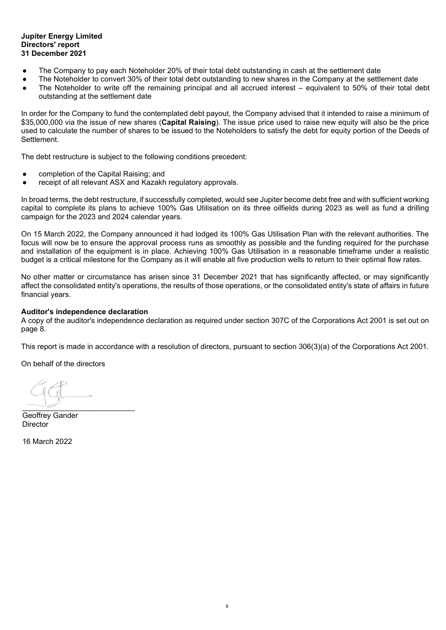#### **Jupiter Energy Limited Directors' report 31 December 2021**

- The Company to pay each Noteholder 20% of their total debt outstanding in cash at the settlement date
- The Noteholder to convert 30% of their total debt outstanding to new shares in the Company at the settlement date
- The Noteholder to write off the remaining principal and all accrued interest equivalent to 50% of their total debt outstanding at the settlement date

In order for the Company to fund the contemplated debt payout, the Company advised that it intended to raise a minimum of \$35,000,000 via the issue of new shares (**Capital Raising**). The issue price used to raise new equity will also be the price used to calculate the number of shares to be issued to the Noteholders to satisfy the debt for equity portion of the Deeds of **Settlement** 

The debt restructure is subject to the following conditions precedent:

- completion of the Capital Raising; and
- receipt of all relevant ASX and Kazakh regulatory approvals.

In broad terms, the debt restructure, if successfully completed, would see Jupiter become debt free and with sufficient working capital to complete its plans to achieve 100% Gas Utilisation on its three oilfields during 2023 as well as fund a drilling campaign for the 2023 and 2024 calendar years.

On 15 March 2022, the Company announced it had lodged its 100% Gas Utilisation Plan with the relevant authorities. The focus will now be to ensure the approval process runs as smoothly as possible and the funding required for the purchase and installation of the equipment is in place. Achieving 100% Gas Utilisation in a reasonable timeframe under a realistic budget is a critical milestone for the Company as it will enable all five production wells to return to their optimal flow rates.

No other matter or circumstance has arisen since 31 December 2021 that has significantly affected, or may significantly affect the consolidated entity's operations, the results of those operations, or the consolidated entity's state of affairs in future financial years.

#### **Auditor's independence declaration**

A copy of the auditor's independence declaration as required under section 307C of the Corporations Act 2001 is set out on page 8.

This report is made in accordance with a resolution of directors, pursuant to section 306(3)(a) of the Corporations Act 2001.

On behalf of the directors

 $\begin{array}{c} \hline \hline \hline \end{array}$ 

Geoffrey Gander **Director** 

16 March 2022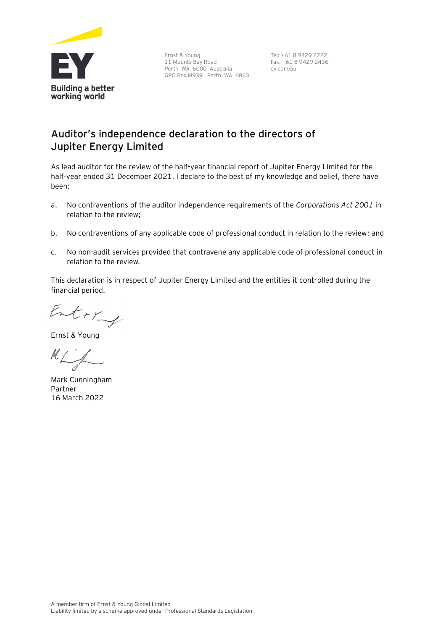

Ernst & Young 11 Mounts Bay Road Perth WA 6000 Australia GPO Box M939 Perth WA 6843

Tel: +61 8 9429 2222 Fax: +61 8 9429 2436 ey.com/au

# **Auditor's independence declaration to the directors of Jupiter Energy Limited**

As lead auditor for the review of the half-year financial report of Jupiter Energy Limited for the half-year ended 31 December 2021, I declare to the best of my knowledge and belief, there have been:

- a. No contraventions of the auditor independence requirements of the *Corporations Act 2001* in relation to the review;
- b. No contraventions of any applicable code of professional conduct in relation to the review; and
- c. No non-audit services provided that contravene any applicable code of professional conduct in relation to the review.

This declaration is in respect of Jupiter Energy Limited and the entities it controlled during the financial period.

Entry

Ernst & Young

 $M\Box\angle$ 

Mark Cunningham Partner 16 March 2022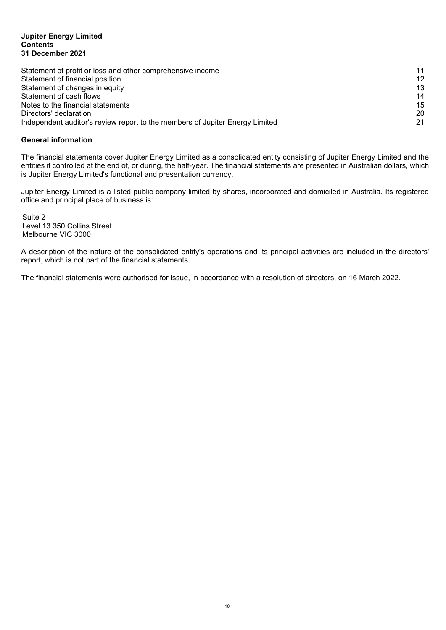#### **Jupiter Energy Limited Contents 31 December 2021**

| Statement of profit or loss and other comprehensive income                   | 11              |
|------------------------------------------------------------------------------|-----------------|
| Statement of financial position                                              | 12 <sup>°</sup> |
| Statement of changes in equity                                               | 13              |
| Statement of cash flows                                                      | 14              |
| Notes to the financial statements                                            | 15              |
| Directors' declaration                                                       | 20              |
| Independent auditor's review report to the members of Jupiter Energy Limited | 21              |

#### **General information**

The financial statements cover Jupiter Energy Limited as a consolidated entity consisting of Jupiter Energy Limited and the entities it controlled at the end of, or during, the half-year. The financial statements are presented in Australian dollars, which is Jupiter Energy Limited's functional and presentation currency.

Jupiter Energy Limited is a listed public company limited by shares, incorporated and domiciled in Australia. Its registered office and principal place of business is:

Suite 2 Level 13 350 Collins Street Melbourne VIC 3000

A description of the nature of the consolidated entity's operations and its principal activities are included in the directors' report, which is not part of the financial statements.

The financial statements were authorised for issue, in accordance with a resolution of directors, on 16 March 2022.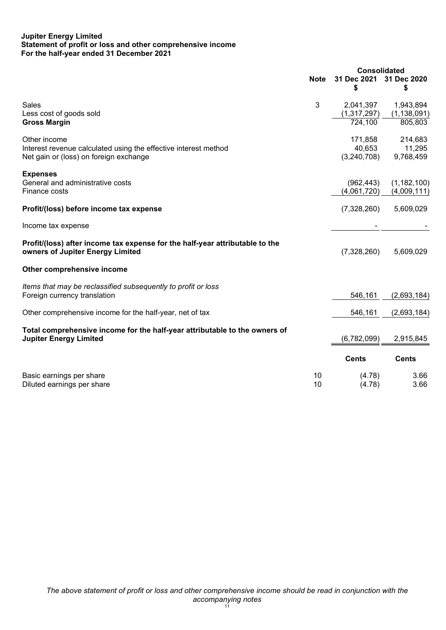#### **Jupiter Energy Limited Statement of profit or loss and other comprehensive income For the half-year ended 31 December 2021**

|                                                                                                                           |             | <b>Consolidated</b>              |                                |
|---------------------------------------------------------------------------------------------------------------------------|-------------|----------------------------------|--------------------------------|
|                                                                                                                           | <b>Note</b> | 31 Dec 2021                      | 31 Dec 2020                    |
|                                                                                                                           |             | \$                               | \$                             |
| Sales<br>Less cost of goods sold                                                                                          | 3           | 2,041,397<br>(1, 317, 297)       | 1,943,894<br>(1, 138, 091)     |
| <b>Gross Margin</b>                                                                                                       |             | 724,100                          | 805,803                        |
| Other income<br>Interest revenue calculated using the effective interest method<br>Net gain or (loss) on foreign exchange |             | 171,858<br>40,653<br>(3,240,708) | 214,683<br>11,295<br>9,768,459 |
| <b>Expenses</b><br>General and administrative costs<br>Finance costs                                                      |             | (962, 443)<br>(4,061,720)        | (1, 182, 100)<br>(4,009,111)   |
| Profit/(loss) before income tax expense                                                                                   |             | (7,328,260)                      | 5,609,029                      |
| Income tax expense                                                                                                        |             |                                  |                                |
| Profit/(loss) after income tax expense for the half-year attributable to the<br>owners of Jupiter Energy Limited          |             | (7,328,260)                      | 5,609,029                      |
| Other comprehensive income                                                                                                |             |                                  |                                |
| Items that may be reclassified subsequently to profit or loss<br>Foreign currency translation                             |             | 546,161                          | (2,693,184)                    |
| Other comprehensive income for the half-year, net of tax                                                                  |             | 546,161                          | (2,693,184)                    |
| Total comprehensive income for the half-year attributable to the owners of<br><b>Jupiter Energy Limited</b>               |             | (6,782,099)                      | 2,915,845                      |
|                                                                                                                           |             | <b>Cents</b>                     | <b>Cents</b>                   |
| Basic earnings per share<br>Diluted earnings per share                                                                    | 10<br>10    | (4.78)<br>(4.78)                 | 3.66<br>3.66                   |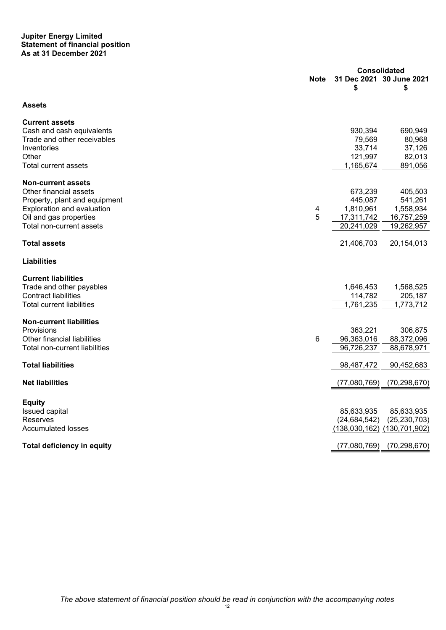#### **Jupiter Energy Limited Statement of financial position As at 31 December 2021**

|                                   | <b>Consolidated</b> |                |                                |
|-----------------------------------|---------------------|----------------|--------------------------------|
|                                   | <b>Note</b>         | \$             | 31 Dec 2021 30 June 2021<br>\$ |
| Assets                            |                     |                |                                |
| <b>Current assets</b>             |                     |                |                                |
| Cash and cash equivalents         |                     | 930,394        | 690,949                        |
| Trade and other receivables       |                     | 79,569         | 80,968                         |
| Inventories                       |                     | 33,714         | 37,126                         |
| Other                             |                     | 121,997        | 82,013                         |
| Total current assets              |                     | 1,165,674      | 891,056                        |
| <b>Non-current assets</b>         |                     |                |                                |
| Other financial assets            |                     | 673,239        | 405,503                        |
| Property, plant and equipment     |                     | 445,087        | 541,261                        |
| Exploration and evaluation        | 4                   | 1,810,961      | 1,558,934                      |
| Oil and gas properties            | 5                   | 17,311,742     | 16,757,259                     |
| Total non-current assets          |                     | 20,241,029     | 19,262,957                     |
| <b>Total assets</b>               |                     | 21,406,703     | 20,154,013                     |
| <b>Liabilities</b>                |                     |                |                                |
| <b>Current liabilities</b>        |                     |                |                                |
| Trade and other payables          |                     | 1,646,453      | 1,568,525                      |
| <b>Contract liabilities</b>       |                     | 114,782        | 205,187                        |
| <b>Total current liabilities</b>  |                     | 1,761,235      | 1,773,712                      |
| <b>Non-current liabilities</b>    |                     |                |                                |
| Provisions                        |                     | 363,221        | 306,875                        |
| Other financial liabilities       | 6                   | 96,363,016     | 88,372,096                     |
| Total non-current liabilities     |                     | 96,726,237     | 88,678,971                     |
| <b>Total liabilities</b>          |                     | 98,487,472     | 90,452,683                     |
| <b>Net liabilities</b>            |                     | (77,080,769)   | (70, 298, 670)                 |
| <b>Equity</b>                     |                     |                |                                |
| Issued capital                    |                     | 85,633,935     | 85,633,935                     |
| Reserves                          |                     | (24, 684, 542) | (25, 230, 703)                 |
| <b>Accumulated losses</b>         |                     |                | (138,030,162) (130,701,902)    |
|                                   |                     |                |                                |
| <b>Total deficiency in equity</b> |                     | (77,080,769)   | (70, 298, 670)                 |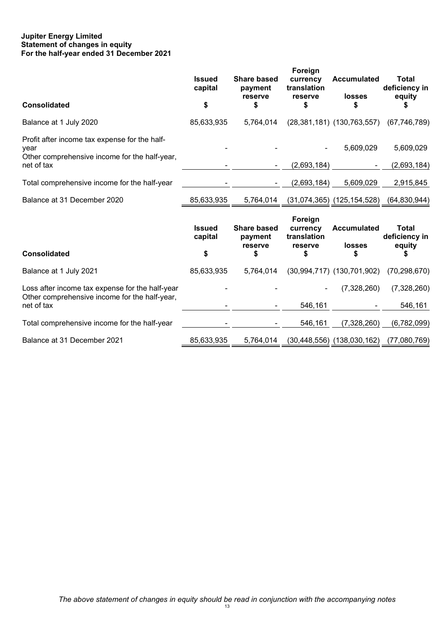#### **Jupiter Energy Limited Statement of changes in equity For the half-year ended 31 December 2021**

| <b>Issued</b><br>capital | <b>Share based</b><br>payment<br>reserve | Foreign<br>currency<br>translation<br>reserve | <b>Accumulated</b><br><b>losses</b> | <b>Total</b><br>deficiency in<br>equity                                                                                                                                           |
|--------------------------|------------------------------------------|-----------------------------------------------|-------------------------------------|-----------------------------------------------------------------------------------------------------------------------------------------------------------------------------------|
|                          |                                          |                                               |                                     |                                                                                                                                                                                   |
|                          |                                          |                                               |                                     | (67, 746, 789)                                                                                                                                                                    |
|                          |                                          |                                               | 5,609,029                           | 5,609,029                                                                                                                                                                         |
|                          |                                          |                                               |                                     | (2,693,184)                                                                                                                                                                       |
|                          |                                          | (2,693,184)                                   | 5,609,029                           | 2,915,845                                                                                                                                                                         |
| 85,633,935               | 5,764,014                                |                                               |                                     | (64,830,944)                                                                                                                                                                      |
| <b>Issued</b><br>capital | <b>Share based</b><br>payment            | Foreign<br>currency<br>translation            | <b>Accumulated</b>                  | <b>Total</b><br>deficiency in<br>equity                                                                                                                                           |
| \$                       | \$                                       | \$                                            | \$                                  |                                                                                                                                                                                   |
| 85,633,935               | 5,764,014                                |                                               |                                     | (70, 298, 670)                                                                                                                                                                    |
|                          |                                          |                                               | (7,328,260)                         | (7,328,260)                                                                                                                                                                       |
|                          |                                          | 546,161                                       |                                     | 546,161                                                                                                                                                                           |
|                          |                                          | 546,161                                       | (7,328,260)                         | (6,782,099)                                                                                                                                                                       |
| 85,633,935               | 5,764,014                                |                                               |                                     | (77,080,769)                                                                                                                                                                      |
|                          | \$<br>85,633,935                         | \$<br>5,764,014<br>reserve                    | \$<br>reserve                       | S<br>$(28, 381, 181)$ $(130, 763, 557)$<br>(2,693,184)<br>$(31,074,365)$ $(125,154,528)$<br><b>losses</b><br>$(30,994,717)$ $(130,701,902)$<br>$(30, 448, 556)$ $(138, 030, 162)$ |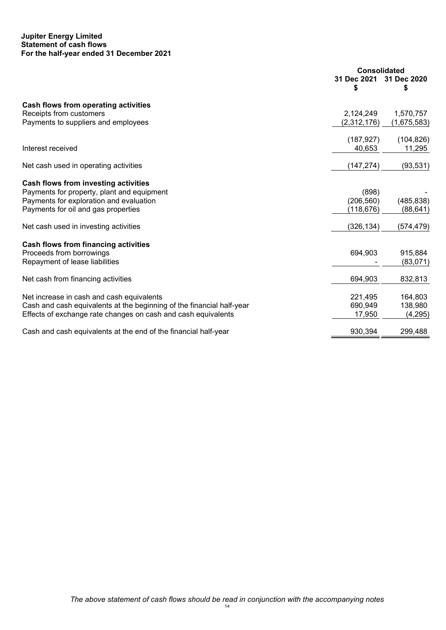#### **Jupiter Energy Limited Statement of cash flows For the half-year ended 31 December 2021**

|                                                                       | <b>Consolidated</b> |                  |
|-----------------------------------------------------------------------|---------------------|------------------|
|                                                                       | 31 Dec 2021<br>S    | 31 Dec 2020<br>S |
| Cash flows from operating activities                                  |                     |                  |
| Receipts from customers                                               | 2,124,249           | 1,570,757        |
| Payments to suppliers and employees                                   | (2,312,176)         | (1,675,583)      |
|                                                                       | (187, 927)          | (104, 826)       |
| Interest received                                                     | 40,653              | 11,295           |
| Net cash used in operating activities                                 | (147, 274)          | (93, 531)        |
| Cash flows from investing activities                                  |                     |                  |
| Payments for property, plant and equipment                            | (898)               |                  |
| Payments for exploration and evaluation                               | (206, 560)          | (485, 838)       |
| Payments for oil and gas properties                                   | (118, 676)          | (88, 641)        |
|                                                                       |                     |                  |
| Net cash used in investing activities                                 | (326, 134)          | (574,479)        |
| Cash flows from financing activities                                  |                     |                  |
| Proceeds from borrowings                                              | 694,903             | 915,884          |
| Repayment of lease liabilities                                        |                     | (83,071)         |
| Net cash from financing activities                                    | 694,903             | 832,813          |
| Net increase in cash and cash equivalents                             | 221,495             | 164,803          |
| Cash and cash equivalents at the beginning of the financial half-year | 690,949             | 138,980          |
| Effects of exchange rate changes on cash and cash equivalents         | 17,950              | (4,295)          |
| Cash and cash equivalents at the end of the financial half-year       | 930,394             | 299,488          |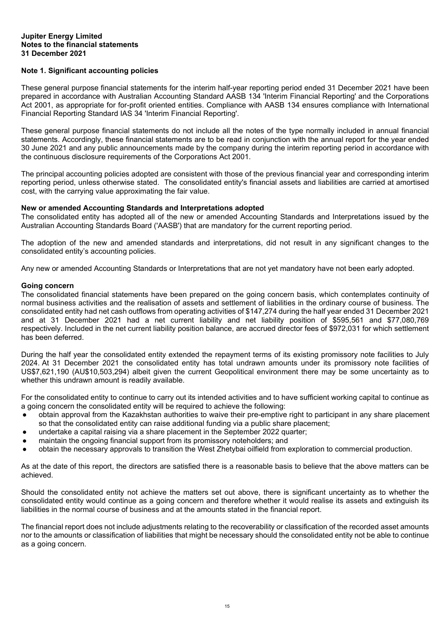#### **Jupiter Energy Limited Notes to the financial statements 31 December 2021**

#### **Note 1. Significant accounting policies**

These general purpose financial statements for the interim half-year reporting period ended 31 December 2021 have been prepared in accordance with Australian Accounting Standard AASB 134 'Interim Financial Reporting' and the Corporations Act 2001, as appropriate for for-profit oriented entities. Compliance with AASB 134 ensures compliance with International Financial Reporting Standard IAS 34 'Interim Financial Reporting'.

These general purpose financial statements do not include all the notes of the type normally included in annual financial statements. Accordingly, these financial statements are to be read in conjunction with the annual report for the year ended 30 June 2021 and any public announcements made by the company during the interim reporting period in accordance with the continuous disclosure requirements of the Corporations Act 2001.

The principal accounting policies adopted are consistent with those of the previous financial year and corresponding interim reporting period, unless otherwise stated. The consolidated entity's financial assets and liabilities are carried at amortised cost, with the carrying value approximating the fair value.

#### **New or amended Accounting Standards and Interpretations adopted**

The consolidated entity has adopted all of the new or amended Accounting Standards and Interpretations issued by the Australian Accounting Standards Board ('AASB') that are mandatory for the current reporting period.

The adoption of the new and amended standards and interpretations, did not result in any significant changes to the consolidated entity's accounting policies.

Any new or amended Accounting Standards or Interpretations that are not yet mandatory have not been early adopted.

#### **Going concern**

The consolidated financial statements have been prepared on the going concern basis, which contemplates continuity of normal business activities and the realisation of assets and settlement of liabilities in the ordinary course of business. The consolidated entity had net cash outflows from operating activities of \$147,274 during the half year ended 31 December 2021 and at 31 December 2021 had a net current liability and net liability position of \$595,561 and \$77,080,769 respectively. Included in the net current liability position balance, are accrued director fees of \$972,031 for which settlement has been deferred.

During the half year the consolidated entity extended the repayment terms of its existing promissory note facilities to July 2024. At 31 December 2021 the consolidated entity has total undrawn amounts under its promissory note facilities of US\$7,621,190 (AU\$10,503,294) albeit given the current Geopolitical environment there may be some uncertainty as to whether this undrawn amount is readily available.

For the consolidated entity to continue to carry out its intended activities and to have sufficient working capital to continue as a going concern the consolidated entity will be required to achieve the following:

- obtain approval from the Kazakhstan authorities to waive their pre-emptive right to participant in any share placement so that the consolidated entity can raise additional funding via a public share placement;
- undertake a capital raising via a share placement in the September 2022 quarter;
- maintain the ongoing financial support from its promissory noteholders; and
- obtain the necessary approvals to transition the West Zhetybai oilfield from exploration to commercial production.

As at the date of this report, the directors are satisfied there is a reasonable basis to believe that the above matters can be achieved.

Should the consolidated entity not achieve the matters set out above, there is significant uncertainty as to whether the consolidated entity would continue as a going concern and therefore whether it would realise its assets and extinguish its liabilities in the normal course of business and at the amounts stated in the financial report.

The financial report does not include adjustments relating to the recoverability or classification of the recorded asset amounts nor to the amounts or classification of liabilities that might be necessary should the consolidated entity not be able to continue as a going concern.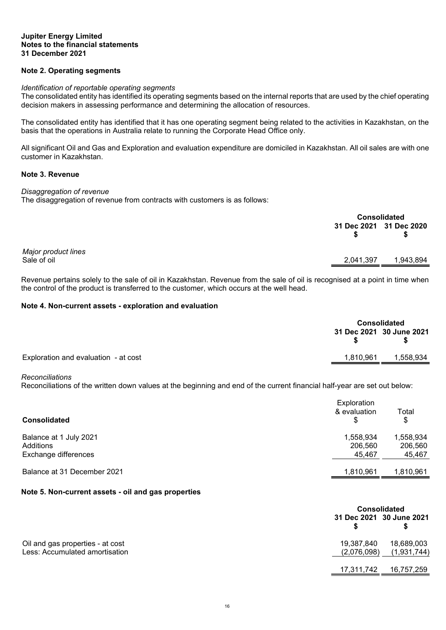#### **Jupiter Energy Limited Notes to the financial statements 31 December 2021**

#### **Note 2. Operating segments**

#### *Identification of reportable operating segments*

The consolidated entity has identified its operating segments based on the internal reports that are used by the chief operating decision makers in assessing performance and determining the allocation of resources.

The consolidated entity has identified that it has one operating segment being related to the activities in Kazakhstan, on the basis that the operations in Australia relate to running the Corporate Head Office only.

All significant Oil and Gas and Exploration and evaluation expenditure are domiciled in Kazakhstan. All oil sales are with one customer in Kazakhstan.

#### <span id="page-15-0"></span>**Note 3. Revenue**

#### *Disaggregation of revenue*

The disaggregation of revenue from contracts with customers is as follows:

|                                    |                         | Consolidated |  |
|------------------------------------|-------------------------|--------------|--|
|                                    | 31 Dec 2021 31 Dec 2020 | S            |  |
| Major product lines<br>Sale of oil | 2,041,397               | 1,943,894    |  |
|                                    |                         |              |  |

Revenue pertains solely to the sale of oil in Kazakhstan. Revenue from the sale of oil is recognised at a point in time when the control of the product is transferred to the customer, which occurs at the well head.

#### **Note 4. Non-current assets - exploration and evaluation**

<span id="page-15-1"></span>

|                                      | <b>Consolidated</b> |                          |
|--------------------------------------|---------------------|--------------------------|
|                                      |                     | 31 Dec 2021 30 June 2021 |
| Exploration and evaluation - at cost | 1,810,961           | 1,558,934                |

#### *Reconciliations*

Reconciliations of the written down values at the beginning and end of the current financial half-year are set out below:

| <b>Consolidated</b>                                         | Exploration<br>& evaluation    | Total<br>\$                    |
|-------------------------------------------------------------|--------------------------------|--------------------------------|
| Balance at 1 July 2021<br>Additions<br>Exchange differences | 1,558,934<br>206,560<br>45,467 | 1,558,934<br>206,560<br>45,467 |
| Balance at 31 December 2021                                 | 1,810,961                      | 1,810,961                      |

#### **Note 5. Non-current assets - oil and gas properties**

<span id="page-15-2"></span>

|                                  |             | <b>Consolidated</b>      |  |
|----------------------------------|-------------|--------------------------|--|
|                                  |             | 31 Dec 2021 30 June 2021 |  |
| Oil and gas properties - at cost | 19,387,840  | 18,689,003               |  |
| Less: Accumulated amortisation   | (2,076,098) | (1,931,744)              |  |
|                                  | 17,311,742  | 16,757,259               |  |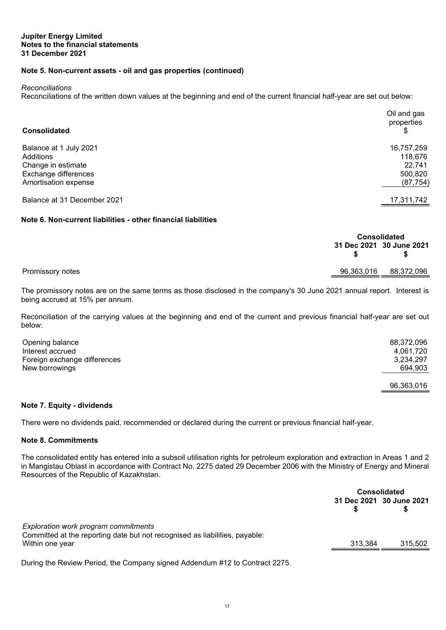#### **Note 5. Non-current assets - oil and gas properties (continued)**

*Reconciliations*

Reconciliations of the written down values at the beginning and end of the current financial half-year are set out below:

| <b>Consolidated</b>         | Oil and gas<br>properties |
|-----------------------------|---------------------------|
| Balance at 1 July 2021      | 16,757,259                |
| Additions                   | 118,676                   |
| Change in estimate          | 22.741                    |
| Exchange differences        | 500,820                   |
| Amortisation expense        | (87, 754)                 |
| Balance at 31 December 2021 | 17,311,742                |

#### **Note 6. Non-current liabilities - other financial liabilities**

<span id="page-16-0"></span>

|                  |            | <b>Consolidated</b>      |  |
|------------------|------------|--------------------------|--|
|                  |            | 31 Dec 2021 30 June 2021 |  |
| Promissory notes | 96,363,016 | 88,372,096               |  |
|                  |            |                          |  |

The promissory notes are on the same terms as those disclosed in the company's 30 June 2021 annual report. Interest is being accrued at 15% per annum.

Reconciliation of the carrying values at the beginning and end of the current and previous financial half-year are set out below:

| Opening balance              | 88,372,096 |
|------------------------------|------------|
| Interest accrued             | 4,061,720  |
| Foreign exchange differences | 3,234,297  |
| New borrowings               | 694.903    |
|                              | 96,363,016 |

#### **Note 7. Equity - dividends**

There were no dividends paid, recommended or declared during the current or previous financial half-year.

#### **Note 8. Commitments**

The consolidated entity has entered into a subsoil utilisation rights for petroleum exploration and extraction in Areas 1 and 2 in Mangistau Oblast in accordance with Contract No. 2275 dated 29 December 2006 with the Ministry of Energy and Mineral Resources of the Republic of Kazakhstan.

|                                                                                                                                        | <b>Consolidated</b> |                          |
|----------------------------------------------------------------------------------------------------------------------------------------|---------------------|--------------------------|
|                                                                                                                                        |                     | 31 Dec 2021 30 June 2021 |
| Exploration work program commitments<br>Committed at the reporting date but not recognised as liabilities, payable:<br>Within one year | 313.384             | 315,502                  |
|                                                                                                                                        |                     |                          |

During the Review Period, the Company signed Addendum #12 to Contract 2275.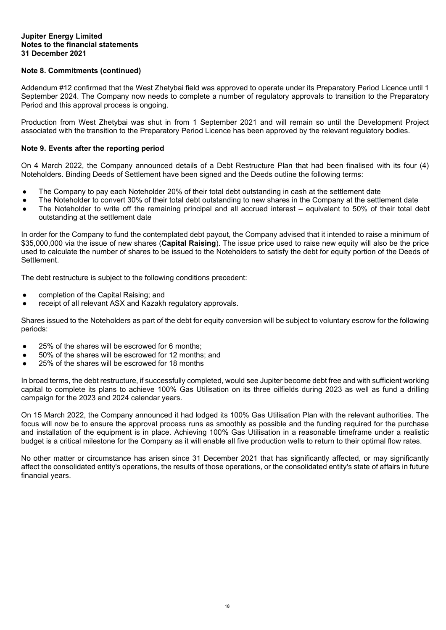#### **Jupiter Energy Limited Notes to the financial statements 31 December 2021**

#### **Note 8. Commitments (continued)**

Addendum #12 confirmed that the West Zhetybai field was approved to operate under its Preparatory Period Licence until 1 September 2024. The Company now needs to complete a number of regulatory approvals to transition to the Preparatory Period and this approval process is ongoing.

Production from West Zhetybai was shut in from 1 September 2021 and will remain so until the Development Project associated with the transition to the Preparatory Period Licence has been approved by the relevant regulatory bodies.

#### **Note 9. Events after the reporting period**

On 4 March 2022, the Company announced details of a Debt Restructure Plan that had been finalised with its four (4) Noteholders. Binding Deeds of Settlement have been signed and the Deeds outline the following terms:

- The Company to pay each Noteholder 20% of their total debt outstanding in cash at the settlement date
- The Noteholder to convert 30% of their total debt outstanding to new shares in the Company at the settlement date
- The Noteholder to write off the remaining principal and all accrued interest equivalent to 50% of their total debt outstanding at the settlement date

In order for the Company to fund the contemplated debt payout, the Company advised that it intended to raise a minimum of \$35,000,000 via the issue of new shares (**Capital Raising**). The issue price used to raise new equity will also be the price used to calculate the number of shares to be issued to the Noteholders to satisfy the debt for equity portion of the Deeds of Settlement.

The debt restructure is subject to the following conditions precedent:

- completion of the Capital Raising; and
- receipt of all relevant ASX and Kazakh regulatory approvals.

Shares issued to the Noteholders as part of the debt for equity conversion will be subject to voluntary escrow for the following periods:

- 25% of the shares will be escrowed for 6 months;
- 50% of the shares will be escrowed for 12 months; and
- 25% of the shares will be escrowed for 18 months

In broad terms, the debt restructure, if successfully completed, would see Jupiter become debt free and with sufficient working capital to complete its plans to achieve 100% Gas Utilisation on its three oilfields during 2023 as well as fund a drilling campaign for the 2023 and 2024 calendar years.

On 15 March 2022, the Company announced it had lodged its 100% Gas Utilisation Plan with the relevant authorities. The focus will now be to ensure the approval process runs as smoothly as possible and the funding required for the purchase and installation of the equipment is in place. Achieving 100% Gas Utilisation in a reasonable timeframe under a realistic budget is a critical milestone for the Company as it will enable all five production wells to return to their optimal flow rates.

No other matter or circumstance has arisen since 31 December 2021 that has significantly affected, or may significantly affect the consolidated entity's operations, the results of those operations, or the consolidated entity's state of affairs in future financial years.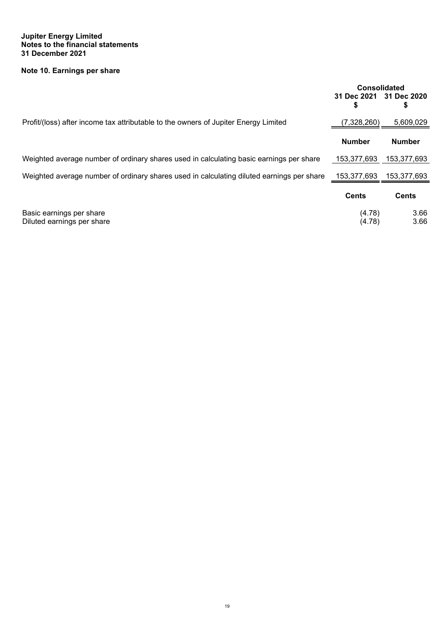#### **Jupiter Energy Limited Notes to the financial statements 31 December 2021**

### **Note 10. Earnings per share**

<span id="page-18-0"></span>

|                                                                                           | <b>Consolidated</b><br>31 Dec 2021 31 Dec 2020<br>\$ | \$            |
|-------------------------------------------------------------------------------------------|------------------------------------------------------|---------------|
| Profit/(loss) after income tax attributable to the owners of Jupiter Energy Limited       | (7,328,260)                                          | 5,609,029     |
|                                                                                           | <b>Number</b>                                        | <b>Number</b> |
| Weighted average number of ordinary shares used in calculating basic earnings per share   | 153,377,693                                          | 153,377,693   |
| Weighted average number of ordinary shares used in calculating diluted earnings per share | 153,377,693                                          | 153.377.693   |
|                                                                                           | <b>Cents</b>                                         | <b>Cents</b>  |
| Basic earnings per share<br>Diluted earnings per share                                    | (4.78)<br>(4.78)                                     | 3.66<br>3.66  |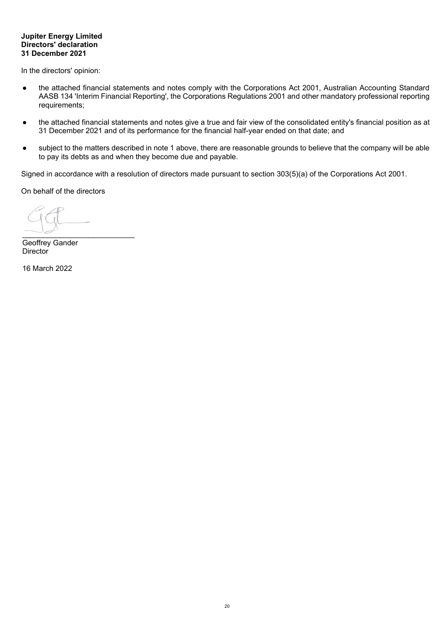#### **Jupiter Energy Limited Directors' declaration 31 December 2021**

In the directors' opinion:

- the attached financial statements and notes comply with the Corporations Act 2001, Australian Accounting Standard AASB 134 'Interim Financial Reporting', the Corporations Regulations 2001 and other mandatory professional reporting requirements;
- the attached financial statements and notes give a true and fair view of the consolidated entity's financial position as at 31 December 2021 and of its performance for the financial half-year ended on that date; and
- subject to the matters described in note 1 above, there are reasonable grounds to believe that the company will be able to pay its debts as and when they become due and payable.

Signed in accordance with a resolution of directors made pursuant to section 303(5)(a) of the Corporations Act 2001.

On behalf of the directors

 $\overline{\phantom{a}}$ 

Geoffrey Gander **Director** 

16 March 2022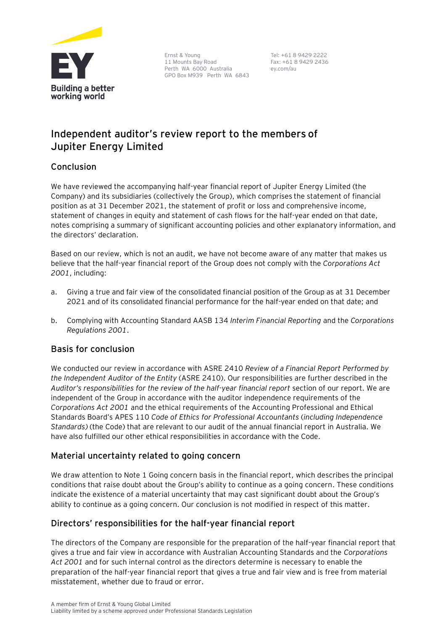

Ernst & Young 11 Mounts Bay Road Perth WA 6000 Australia GPO Box M939 Perth WA 6843

Tel: +61 8 9429 2222 Fax: +61 8 9429 2436 ey.com/au

# **Independent auditor's review report to the members of Jupiter Energy Limited**

## **Conclusion**

We have reviewed the accompanying half-year financial report of Jupiter Energy Limited (the Company) and its subsidiaries (collectively the Group), which comprises the statement of financial position as at 31 December 2021, the statement of profit or loss and comprehensive income, statement of changes in equity and statement of cash flows for the half-year ended on that date, notes comprising a summary of significant accounting policies and other explanatory information, and the directors' declaration.

Based on our review, which is not an audit, we have not become aware of any matter that makes us believe that the half-year financial report of the Group does not comply with the *Corporations Act 2001*, including:

- a. Giving a true and fair view of the consolidated financial position of the Group as at 31 December 2021 and of its consolidated financial performance for the half-year ended on that date; and
- b. Complying with Accounting Standard AASB 134 *Interim Financial Reporting* and the *Corporations Regulations 2001*.

### **Basis for conclusion**

We conducted our review in accordance with ASRE 2410 *Review of a Financial Report Performed by the Independent Auditor of the Entity* (ASRE 2410). Our responsibilities are further described in the *Auditor's responsibilities for the review of the half-year financial report* section of our report. We are independent of the Group in accordance with the auditor independence requirements of the *Corporations Act 2001* and the ethical requirements of the Accounting Professional and Ethical Standards Board's APES 110 *Code of Ethics for Professional Accountants* (*including Independence Standards)* (the Code) that are relevant to our audit of the annual financial report in Australia. We have also fulfilled our other ethical responsibilities in accordance with the Code.

# **Material uncertainty related to going concern**

We draw attention to Note 1 Going concern basis in the financial report, which describes the principal conditions that raise doubt about the Group's ability to continue as a going concern. These conditions indicate the existence of a material uncertainty that may cast significant doubt about the Group's ability to continue as a going concern. Our conclusion is not modified in respect of this matter.

# **Directors' responsibilities for the half-year financial report**

The directors of the Company are responsible for the preparation of the half-year financial report that gives a true and fair view in accordance with Australian Accounting Standards and the *Corporations Act 2001* and for such internal control as the directors determine is necessary to enable the preparation of the half-year financial report that gives a true and fair view and is free from material misstatement, whether due to fraud or error.